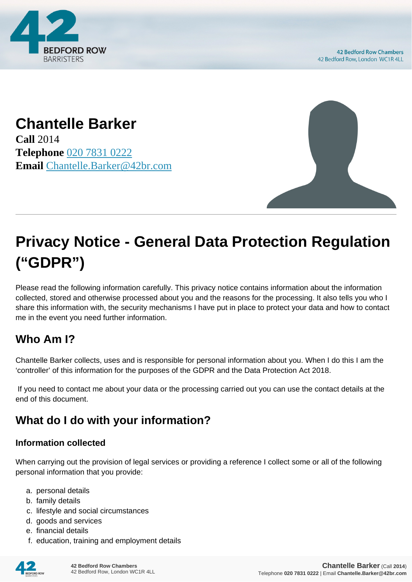

#### **Chantelle Barker Call** 2014 **Telephone** [020 7831 0222](https://pdf.codeshore.co/_42br/tel:020 7831 0222) **Email** [Chantelle.Barker@42br.com](mailto:Chantelle.Barker@42br.com)



# **Privacy Notice - General Data Protection Regulation ("GDPR")**

Please read the following information carefully. This privacy notice contains information about the information collected, stored and otherwise processed about you and the reasons for the processing. It also tells you who I share this information with, the security mechanisms I have put in place to protect your data and how to contact me in the event you need further information.

# **Who Am I?**

Chantelle Barker collects, uses and is responsible for personal information about you. When I do this I am the 'controller' of this information for the purposes of the GDPR and the Data Protection Act 2018.

 If you need to contact me about your data or the processing carried out you can use the contact details at the end of this document.

# **What do I do with your information?**

#### **Information collected**

When carrying out the provision of legal services or providing a reference I collect some or all of the following personal information that you provide:

- a. personal details
- b. family details
- c. lifestyle and social circumstances
- d. goods and services
- e. financial details
- f. education, training and employment details

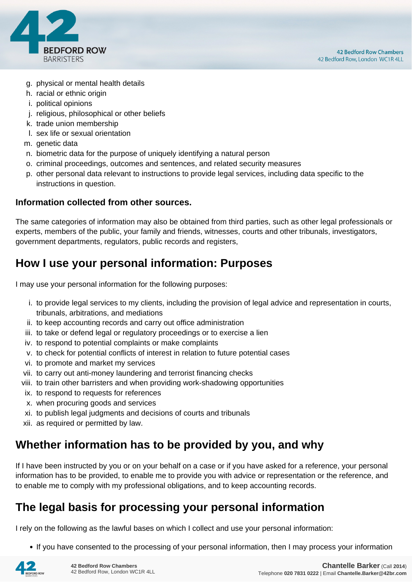

- g. physical or mental health details
- h. racial or ethnic origin
- i. political opinions
- j. religious, philosophical or other beliefs
- k. trade union membership
- l. sex life or sexual orientation
- m. genetic data
- n. biometric data for the purpose of uniquely identifying a natural person
- o. criminal proceedings, outcomes and sentences, and related security measures
- p. other personal data relevant to instructions to provide legal services, including data specific to the instructions in question.

#### **Information collected from other sources.**

The same categories of information may also be obtained from third parties, such as other legal professionals or experts, members of the public, your family and friends, witnesses, courts and other tribunals, investigators, government departments, regulators, public records and registers,

#### **How I use your personal information: Purposes**

I may use your personal information for the following purposes:

- i. to provide legal services to my clients, including the provision of legal advice and representation in courts, tribunals, arbitrations, and mediations
- ii. to keep accounting records and carry out office administration
- iii. to take or defend legal or regulatory proceedings or to exercise a lien
- iv. to respond to potential complaints or make complaints
- v. to check for potential conflicts of interest in relation to future potential cases
- vi. to promote and market my services
- vii. to carry out anti-money laundering and terrorist financing checks
- viii. to train other barristers and when providing work-shadowing opportunities
- ix. to respond to requests for references
- x. when procuring goods and services
- xi. to publish legal judgments and decisions of courts and tribunals
- xii. as required or permitted by law.

#### **Whether information has to be provided by you, and why**

If I have been instructed by you or on your behalf on a case or if you have asked for a reference, your personal information has to be provided, to enable me to provide you with advice or representation or the reference, and to enable me to comply with my professional obligations, and to keep accounting records.

#### **The legal basis for processing your personal information**

I rely on the following as the lawful bases on which I collect and use your personal information:

• If you have consented to the processing of your personal information, then I may process your information

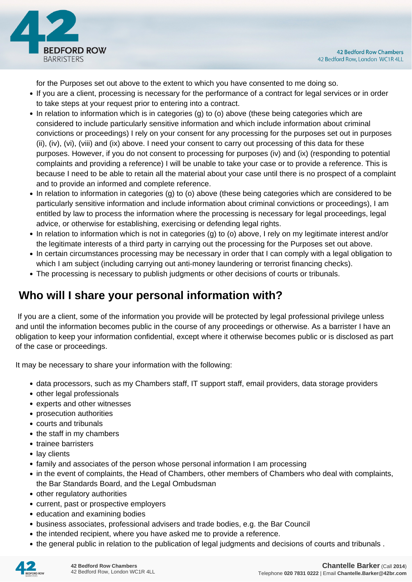

for the Purposes set out above to the extent to which you have consented to me doing so.

- If you are a client, processing is necessary for the performance of a contract for legal services or in order to take steps at your request prior to entering into a contract.
- In relation to information which is in categories (g) to (o) above (these being categories which are considered to include particularly sensitive information and which include information about criminal convictions or proceedings) I rely on your consent for any processing for the purposes set out in purposes (ii), (iv), (vi), (viii) and (ix) above. I need your consent to carry out processing of this data for these purposes. However, if you do not consent to processing for purposes (iv) and (ix) (responding to potential complaints and providing a reference) I will be unable to take your case or to provide a reference. This is because I need to be able to retain all the material about your case until there is no prospect of a complaint and to provide an informed and complete reference.
- In relation to information in categories (g) to (o) above (these being categories which are considered to be particularly sensitive information and include information about criminal convictions or proceedings), I am entitled by law to process the information where the processing is necessary for legal proceedings, legal advice, or otherwise for establishing, exercising or defending legal rights.
- In relation to information which is not in categories (g) to (o) above, I rely on my legitimate interest and/or the legitimate interests of a third party in carrying out the processing for the Purposes set out above.
- In certain circumstances processing may be necessary in order that I can comply with a legal obligation to which I am subject (including carrying out anti-money laundering or terrorist financing checks).
- The processing is necessary to publish judgments or other decisions of courts or tribunals.

# **Who will I share your personal information with?**

 If you are a client, some of the information you provide will be protected by legal professional privilege unless and until the information becomes public in the course of any proceedings or otherwise. As a barrister I have an obligation to keep your information confidential, except where it otherwise becomes public or is disclosed as part of the case or proceedings.

It may be necessary to share your information with the following:

- data processors, such as my Chambers staff, IT support staff, email providers, data storage providers
- other legal professionals
- experts and other witnesses
- prosecution authorities
- courts and tribunals
- the staff in my chambers
- trainee barristers
- lay clients
- family and associates of the person whose personal information I am processing
- in the event of complaints, the Head of Chambers, other members of Chambers who deal with complaints, the Bar Standards Board, and the Legal Ombudsman
- other regulatory authorities
- current, past or prospective employers
- education and examining bodies
- business associates, professional advisers and trade bodies, e.g. the Bar Council
- the intended recipient, where you have asked me to provide a reference.
- the general public in relation to the publication of legal judgments and decisions of courts and tribunals .

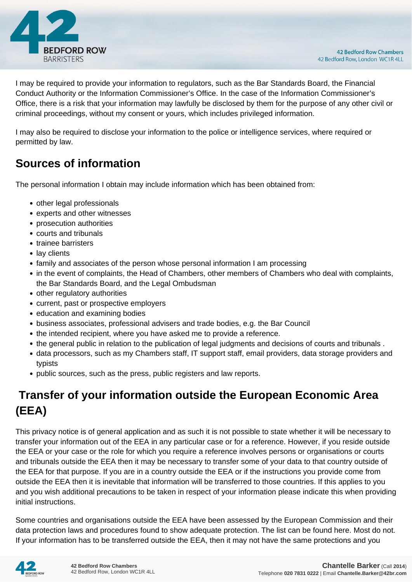

I may be required to provide your information to regulators, such as the Bar Standards Board, the Financial Conduct Authority or the Information Commissioner's Office. In the case of the Information Commissioner's Office, there is a risk that your information may lawfully be disclosed by them for the purpose of any other civil or criminal proceedings, without my consent or yours, which includes privileged information.

I may also be required to disclose your information to the police or intelligence services, where required or permitted by law.

# **Sources of information**

The personal information I obtain may include information which has been obtained from:

- other legal professionals
- experts and other witnesses
- prosecution authorities
- courts and tribunals
- trainee barristers
- lay clients
- family and associates of the person whose personal information I am processing
- in the event of complaints, the Head of Chambers, other members of Chambers who deal with complaints, the Bar Standards Board, and the Legal Ombudsman
- other regulatory authorities
- current, past or prospective employers
- education and examining bodies
- business associates, professional advisers and trade bodies, e.g. the Bar Council
- the intended recipient, where you have asked me to provide a reference.
- the general public in relation to the publication of legal judgments and decisions of courts and tribunals .
- data processors, such as my Chambers staff, IT support staff, email providers, data storage providers and typists
- public sources, such as the press, public registers and law reports.

# **Transfer of your information outside the European Economic Area (EEA)**

This privacy notice is of general application and as such it is not possible to state whether it will be necessary to transfer your information out of the EEA in any particular case or for a reference. However, if you reside outside the EEA or your case or the role for which you require a reference involves persons or organisations or courts and tribunals outside the EEA then it may be necessary to transfer some of your data to that country outside of the EEA for that purpose. If you are in a country outside the EEA or if the instructions you provide come from outside the EEA then it is inevitable that information will be transferred to those countries. If this applies to you and you wish additional precautions to be taken in respect of your information please indicate this when providing initial instructions.

Some countries and organisations outside the EEA have been assessed by the European Commission and their data protection laws and procedures found to show adequate protection. The list can be found here. Most do not. If your information has to be transferred outside the EEA, then it may not have the same protections and you

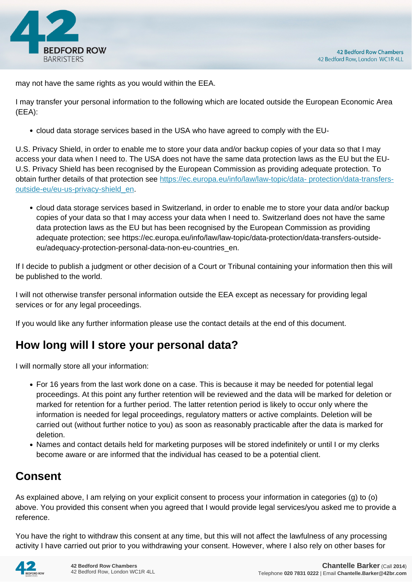

may not have the same rights as you would within the EEA.

I may transfer your personal information to the following which are located outside the European Economic Area (EEA):

cloud data storage services based in the USA who have agreed to comply with the EU-

U.S. Privacy Shield, in order to enable me to store your data and/or backup copies of your data so that I may access your data when I need to. The USA does not have the same data protection laws as the EU but the EU-U.S. Privacy Shield has been recognised by the European Commission as providing adequate protection. To obtain further details of that protection see [https://ec.europa.eu/info/law/law-topic/data- protection/data-transfers](https://ec.europa.eu/info/law/law-topic/data- protection/data-transfers-outside-eu/eu-us-privacy-shield_en)[outside-eu/eu-us-privacy-shield\\_en.](https://ec.europa.eu/info/law/law-topic/data- protection/data-transfers-outside-eu/eu-us-privacy-shield_en)

cloud data storage services based in Switzerland, in order to enable me to store your data and/or backup copies of your data so that I may access your data when I need to. Switzerland does not have the same data protection laws as the EU but has been recognised by the European Commission as providing adequate protection; see https://ec.europa.eu/info/law/law-topic/data-protection/data-transfers-outsideeu/adequacy-protection-personal-data-non-eu-countries\_en.

If I decide to publish a judgment or other decision of a Court or Tribunal containing your information then this will be published to the world.

I will not otherwise transfer personal information outside the EEA except as necessary for providing legal services or for any legal proceedings.

If you would like any further information please use the contact details at the end of this document.

# **How long will I store your personal data?**

I will normally store all your information:

- For 16 years from the last work done on a case. This is because it may be needed for potential legal proceedings. At this point any further retention will be reviewed and the data will be marked for deletion or marked for retention for a further period. The latter retention period is likely to occur only where the information is needed for legal proceedings, regulatory matters or active complaints. Deletion will be carried out (without further notice to you) as soon as reasonably practicable after the data is marked for deletion.
- Names and contact details held for marketing purposes will be stored indefinitely or until I or my clerks become aware or are informed that the individual has ceased to be a potential client.

# **Consent**

As explained above, I am relying on your explicit consent to process your information in categories (g) to (o) above. You provided this consent when you agreed that I would provide legal services/you asked me to provide a reference.

You have the right to withdraw this consent at any time, but this will not affect the lawfulness of any processing activity I have carried out prior to you withdrawing your consent. However, where I also rely on other bases for

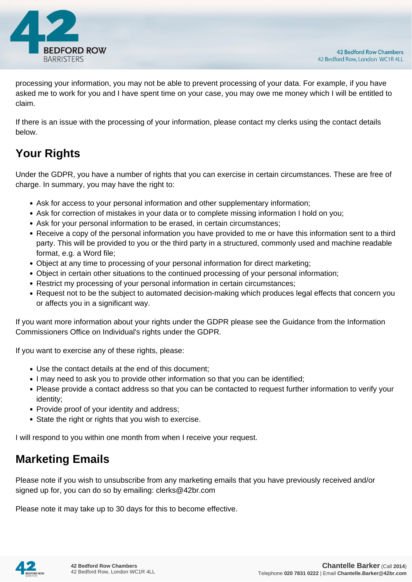

processing your information, you may not be able to prevent processing of your data. For example, if you have asked me to work for you and I have spent time on your case, you may owe me money which I will be entitled to claim.

If there is an issue with the processing of your information, please contact my clerks using the contact details below.

# **Your Rights**

Under the GDPR, you have a number of rights that you can exercise in certain circumstances. These are free of charge. In summary, you may have the right to:

- Ask for access to your personal information and other supplementary information;
- Ask for correction of mistakes in your data or to complete missing information I hold on you;
- Ask for your personal information to be erased, in certain circumstances;
- Receive a copy of the personal information you have provided to me or have this information sent to a third party. This will be provided to you or the third party in a structured, commonly used and machine readable format, e.g. a Word file;
- Object at any time to processing of your personal information for direct marketing;
- Object in certain other situations to the continued processing of your personal information;
- Restrict my processing of your personal information in certain circumstances;
- Request not to be the subject to automated decision-making which produces legal effects that concern you or affects you in a significant way.

If you want more information about your rights under the GDPR please see the Guidance from the Information Commissioners Office on Individual's rights under the GDPR.

If you want to exercise any of these rights, please:

- Use the contact details at the end of this document;
- I may need to ask you to provide other information so that you can be identified;
- Please provide a contact address so that you can be contacted to request further information to verify your identity;
- Provide proof of your identity and address;
- State the right or rights that you wish to exercise.

I will respond to you within one month from when I receive your request.

#### **Marketing Emails**

Please note if you wish to unsubscribe from any marketing emails that you have previously received and/or signed up for, you can do so by emailing: clerks@42br.com

Please note it may take up to 30 days for this to become effective.